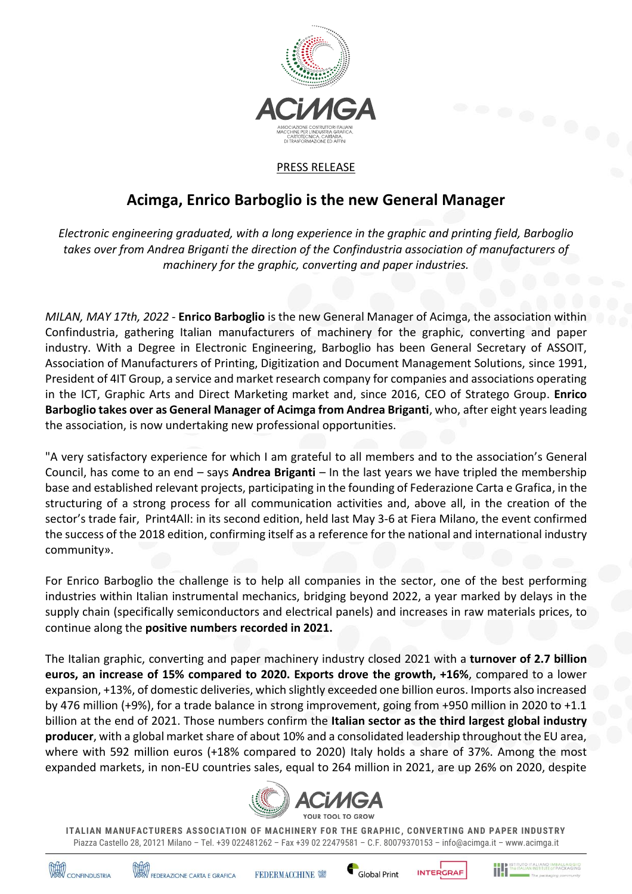

## PRESS RELEASE

## **Acimga, Enrico Barboglio is the new General Manager**

*Electronic engineering graduated, with a long experience in the graphic and printing field, Barboglio takes over from Andrea Briganti the direction of the Confindustria association of manufacturers of machinery for the graphic, converting and paper industries.* 

*MILAN, MAY 17th, 2022* - **Enrico Barboglio** is the new General Manager of Acimga, the association within Confindustria, gathering Italian manufacturers of machinery for the graphic, converting and paper industry. With a Degree in Electronic Engineering, Barboglio has been General Secretary of ASSOIT, Association of Manufacturers of Printing, Digitization and Document Management Solutions, since 1991, President of 4IT Group, a service and market research company for companies and associations operating in the ICT, Graphic Arts and Direct Marketing market and, since 2016, CEO of Stratego Group. **Enrico Barboglio takes over as General Manager of Acimga from Andrea Briganti**, who, after eight years leading the association, is now undertaking new professional opportunities.

"A very satisfactory experience for which I am grateful to all members and to the association's General Council, has come to an end – says **Andrea Briganti** – In the last years we have tripled the membership base and established relevant projects, participating in the founding of Federazione Carta e Grafica, in the structuring of a strong process for all communication activities and, above all, in the creation of the sector's trade fair, Print4All: in its second edition, held last May 3-6 at Fiera Milano, the event confirmed the success of the 2018 edition, confirming itself as a reference for the national and international industry community».

For Enrico Barboglio the challenge is to help all companies in the sector, one of the best performing industries within Italian instrumental mechanics, bridging beyond 2022, a year marked by delays in the supply chain (specifically semiconductors and electrical panels) and increases in raw materials prices, to continue along the **positive numbers recorded in 2021.**

The Italian graphic, converting and paper machinery industry closed 2021 with a **turnover of 2.7 billion euros, an increase of 15% compared to 2020. Exports drove the growth, +16%**, compared to a lower expansion, +13%, of domestic deliveries, which slightly exceeded one billion euros. Imports also increased by 476 million (+9%), for a trade balance in strong improvement, going from +950 million in 2020 to +1.1 billion at the end of 2021. Those numbers confirm the **Italian sector as the third largest global industry producer**, with a global market share of about 10% and a consolidated leadership throughout the EU area, where with 592 million euros (+18% compared to 2020) Italy holds a share of 37%. Among the most expanded markets, in non-EU countries sales, equal to 264 million in 2021, are up 26% on 2020, despite



**ITALIAN MANUFACTURERS ASSOCIATION OF MACHINERY FOR THE GRAPHIC , CONVERTING AND PAPER INDUSTRY**  Piazza Castello 28, 20121 Milano – Tel. +39 022481262 – Fax +39 02 22479581 – C.F. 80079370153 – info@acimga.it – www.acimga.it